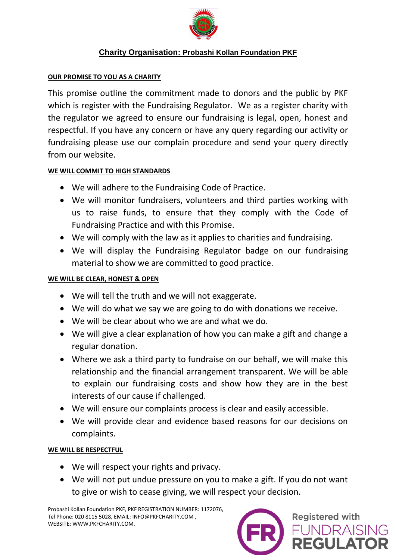

# **Charity Organisation: Probashi Kollan Foundation PKF**

#### **OUR PROMISE TO YOU AS A CHARITY**

This promise outline the commitment made to donors and the public by PKF which is register with the Fundraising Regulator. We as a register charity with the regulator we agreed to ensure our fundraising is legal, open, honest and respectful. If you have any concern or have any query regarding our activity or fundraising please use our complain procedure and send your query directly from our website.

# **WE WILL COMMIT TO HIGH STANDARDS**

- We will adhere to the Fundraising Code of Practice.
- We will monitor fundraisers, volunteers and third parties working with us to raise funds, to ensure that they comply with the Code of Fundraising Practice and with this Promise.
- We will comply with the law as it applies to charities and fundraising.
- We will display the Fundraising Regulator badge on our fundraising material to show we are committed to good practice.

### **WE WILL BE CLEAR, HONEST & OPEN**

- We will tell the truth and we will not exaggerate.
- We will do what we say we are going to do with donations we receive.
- We will be clear about who we are and what we do.
- We will give a clear explanation of how you can make a gift and change a regular donation.
- Where we ask a third party to fundraise on our behalf, we will make this relationship and the financial arrangement transparent. We will be able to explain our fundraising costs and show how they are in the best interests of our cause if challenged.
- We will ensure our complaints process is clear and easily accessible.
- We will provide clear and evidence based reasons for our decisions on complaints.

#### **WE WILL BE RESPECTFUL**

- We will respect your rights and privacy.
- We will not put undue pressure on you to make a gift. If you do not want to give or wish to cease giving, we will respect your decision.

**Registered with** 

**INDRAISING** 

Probashi Kollan Foundation PKF, PKF REGISTRATION NUMBER: 1172076, Tel Phone: 020 8115 5028, EMAIL: INFO@PKFCHARITY.COM , WEBSITE: WWW.PKFCHARITY.COM,